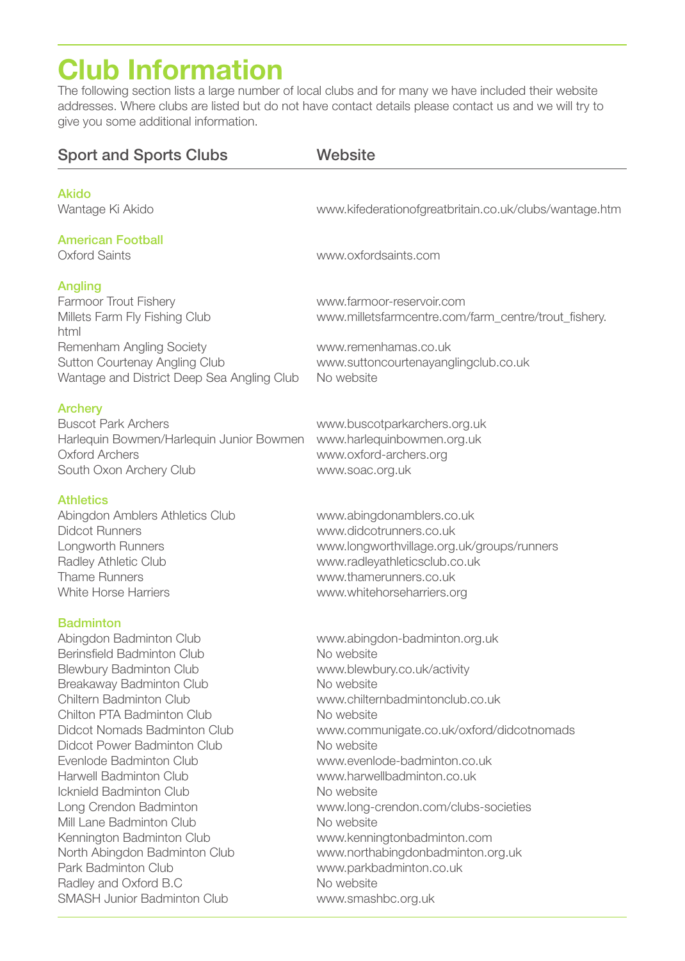# **Club Information**

The following section lists a large number of local clubs and for many we have included their website addresses. Where clubs are listed but do not have contact details please contact us and we will try to give you some additional information.

| <b>Sport and Sports Clubs</b>                                                                                                                                                                                                                                                                     | Website                                                                                                                                                                                                                                     |
|---------------------------------------------------------------------------------------------------------------------------------------------------------------------------------------------------------------------------------------------------------------------------------------------------|---------------------------------------------------------------------------------------------------------------------------------------------------------------------------------------------------------------------------------------------|
|                                                                                                                                                                                                                                                                                                   |                                                                                                                                                                                                                                             |
| <b>Akido</b><br>Wantage Ki Akido                                                                                                                                                                                                                                                                  | www.kifederationofgreatbritain.co.uk/clubs/wantage.htm                                                                                                                                                                                      |
| American Football<br>Oxford Saints                                                                                                                                                                                                                                                                | www.oxfordsaints.com                                                                                                                                                                                                                        |
| Angling<br><b>Farmoor Trout Fishery</b><br>Millets Farm Fly Fishing Club<br>html                                                                                                                                                                                                                  | www.farmoor-reservoir.com<br>www.milletsfarmcentre.com/farm_centre/trout_fishery.                                                                                                                                                           |
| Remenham Angling Society<br>Sutton Courtenay Angling Club<br>Wantage and District Deep Sea Angling Club                                                                                                                                                                                           | www.remenhamas.co.uk<br>www.suttoncourtenayanglingclub.co.uk<br>No website                                                                                                                                                                  |
| Archery<br><b>Buscot Park Archers</b><br>Harlequin Bowmen/Harlequin Junior Bowmen<br><b>Oxford Archers</b><br>South Oxon Archery Club                                                                                                                                                             | www.buscotparkarchers.org.uk<br>www.harlequinbowmen.org.uk<br>www.oxford-archers.org<br>www.soac.org.uk                                                                                                                                     |
| Athletics<br>Abingdon Amblers Athletics Club<br><b>Didcot Runners</b><br>Longworth Runners<br>Radley Athletic Club<br>Thame Runners<br><b>White Horse Harriers</b>                                                                                                                                | www.abingdonamblers.co.uk<br>www.didcotrunners.co.uk<br>www.longworthvillage.org.uk/groups/runners<br>www.radleyathleticsclub.co.uk<br>www.thamerunners.co.uk<br>www.whitehorseharriers.org                                                 |
| <b>Badminton</b><br>Abingdon Badminton Club<br>Berinsfield Badminton Club<br><b>Blewbury Badminton Club</b><br>Breakaway Badminton Club<br><b>Chiltern Badminton Club</b><br>Chilton PTA Badminton Club<br>Didcot Nomads Badminton Club<br>Didcot Power Badminton Club<br>Evenlode Badminton Club | www.abingdon-badminton.org.uk<br>No website<br>www.blewbury.co.uk/activity<br>No website<br>www.chilternbadmintonclub.co.uk<br>No website<br>www.communigate.co.uk/oxford/didcotnomads<br>No website                                        |
| <b>Harwell Badminton Club</b><br><b>Icknield Badminton Club</b><br>Long Crendon Badminton<br>Mill Lane Badminton Club<br>Kennington Badminton Club<br>North Abingdon Badminton Club<br>Park Badminton Club<br>Radley and Oxford B.C                                                               | www.evenlode-badminton.co.uk<br>www.harwellbadminton.co.uk<br>No website<br>www.long-crendon.com/clubs-societies<br>No website<br>www.kenningtonbadminton.com<br>www.northabingdonbadminton.org.uk<br>www.parkbadminton.co.uk<br>No website |
| <b>SMASH Junior Badminton Club</b>                                                                                                                                                                                                                                                                | www.smashbc.org.uk                                                                                                                                                                                                                          |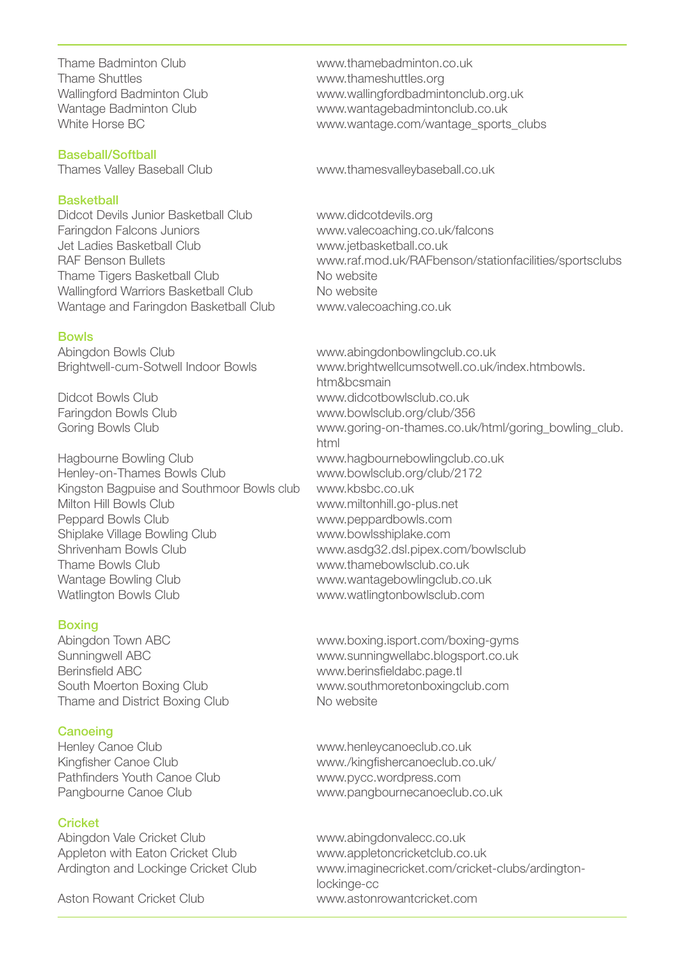Thame Badminton Club www.thamebadminton.co.uk<br>Thame Shuttles www.thameshuttles.org Thame Shuttles www.thameshuttles.org

Baseball/Softball

### **Basketball**

Didcot Devils Junior Basketball Club www.didcotdevils.org<br>Faringdon Falcons Juniors by www.valecoaching.co Jet Ladies Basketball Club www.jetbasketball.co.uk Thame Tigers Basketball Club Wallingford Warriors Basketball Club No website Wantage and Faringdon Basketball Club www.valecoaching.co.uk

#### Bowls

Abingdon Bowls Club www.abingdonbowlingclub.co.uk

Hagbourne Bowling Club www.hagbournebowlingclub.co.uk Henley-on-Thames Bowls Club www.bowlsclub.org/club/2172 Kingston Bagpuise and Southmoor Bowls club www.kbsbc.co.uk Milton Hill Bowls Club www.miltonhill.go-plus.net Peppard Bowls Club www.peppardbowls.com Shiplake Village Bowling Club www.bowlsshiplake.com Shrivenham Bowls Club www.asdg32.dsl.pipex.com/bowlsclub Thame Bowls Club www.thamebowlsclub.co.uk Wantage Bowling Club www.wantagebowlingclub.co.uk Watlington Bowls Club www.watlingtonbowlsclub.com

#### **Boxing**

Berinsfield ABC www.berinsfieldabc.page.tl Thame and District Boxing Club No website

#### **Canoeing**

Henley Canoe Club www.henleycanoeclub.co.uk Pathfinders Youth Canoe Club www.pycc.wordpress.com

#### **Cricket**

Abingdon Vale Cricket Club www.abingdonvalecc.co.uk Appleton with Eaton Cricket Club www.appletoncricketclub.co.uk

Wallingford Badminton Club www.wallingfordbadmintonclub.org.uk Wantage Badminton Club<br>White Horse BC<br>White Horse BC www.wantage.com/wantage\_sports\_clubs

Thames Valley Baseball Club www.thamesvalleybaseball.co.uk

www.valecoaching.co.uk/falcons www.raf.mod.uk/RAFbenson/stationfacilities/sportsclubs<br>No website

Brightwell-cum-Sotwell Indoor Bowls www.brightwellcumsotwell.co.uk/index.htmbowls. htm&bcsmain Didcot Bowls Club www.didcotbowlsclub.co.uk Faringdon Bowls Club www.bowlsclub.org/club/356 Goring Bowls Club **www.goring-on-thames.co.uk/html/goring\_bowling\_club.** html

Abingdon Town ABC www.boxing.isport.com/boxing-gyms Sunningwell ABC www.sunningwellabc.blogsport.co.uk South Moerton Boxing Club www.southmoretonboxingclub.com

Kingfisher Canoe Club www./kingfishercanoeclub.co.uk/ Pangbourne Canoe Club www.pangbournecanoeclub.co.uk

Ardington and Lockinge Cricket Club www.imaginecricket.com/cricket-clubs/ardingtonlockinge-cc Aston Rowant Cricket Club www.astonrowantcricket.com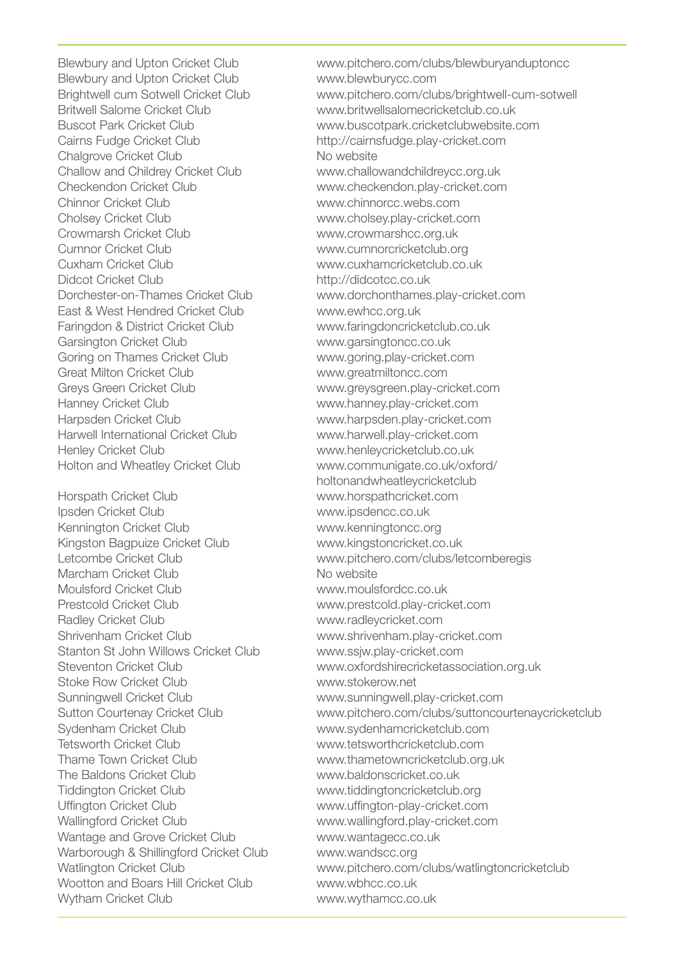Blewbury and Upton Cricket Club www.blewburycc.com Cairns Fudge Cricket Club http://cairnsfudge.play-cricket.com Chalgrove Cricket Club<br>
Challow and Childrey Cricket Club<br>
Www.challowandchildreycc.org.uk Challow and Childrey Cricket Club<br>Checkendon Cricket Club Chinnor Cricket Club www.chinnorcc.webs.com Cholsey Cricket Club www.cholsey.play-cricket.com Crowmarsh Cricket Club www.crowmarshcc.org.uk Cumnor Cricket Club www.cumnorcricketclub.org Didcot Cricket Club http://didcotcc.co.uk East & West Hendred Cricket Club www.ewhcc.org.uk Faringdon & District Cricket Club www.faringdoncricketclub.co.uk Garsington Cricket Club www.garsingtoncc.co.uk Goring on Thames Cricket Club www.goring.play-cricket.com Great Milton Cricket Club www.greatmiltoncc.com Greys Green Cricket Club www.greysgreen.play-cricket.com Hanney Cricket Club www.hanney.play-cricket.com Harpsden Cricket Club www.harpsden.play-cricket.com Harwell International Cricket Club www.harwell.play-cricket.com Holton and Wheatley Cricket Club www.communigate.co.uk/oxford/

Ipsden Cricket Club www.ipsdencc.co.uk Kennington Cricket Club www.kenningtoncc.org Kingston Bagpuize Cricket Club www.kingstoncricket.co.uk Marcham Cricket Club No website Moulsford Cricket Club www.moulsfordcc.co.uk Prestcold Cricket Club www.prestcold.play-cricket.com Radley Cricket Club www.radleycricket.com Shrivenham Cricket Club www.shrivenham.play-cricket.com Stanton St John Willows Cricket Club www.ssjw.play-cricket.com Stoke Row Cricket Club www.stokerow.net Sunningwell Cricket Club www.sunningwell.play-cricket.com Sydenham Cricket Club www.sydenhamcricketclub.com Tetsworth Cricket Club www.tetsworthcricketclub.com The Baldons Cricket Club www.baldonscricket.co.uk Tiddington Cricket Club www.tiddingtoncricketclub.org Uffington Cricket Club www.uffington-play-cricket.com Wallingford Cricket Club www.wallingford.play-cricket.com Wantage and Grove Cricket Club www.wantagecc.co.uk Warborough & Shillingford Cricket Club www.wandscc.org Wootton and Boars Hill Cricket Club www.wbhcc.co.uk Wytham Cricket Club www.wythamcc.co.uk

Blewbury and Upton Cricket Club www.pitchero.com/clubs/blewburyanduptoncc Brightwell cum Sotwell Cricket Club www.pitchero.com/clubs/brightwell-cum-sotwell<br>Britwell Salome Cricket Club www.britwellsalomecricketclub.co.uk www.britwellsalomecricketclub.co.uk Buscot Park Cricket Club www.buscotpark.cricketclubwebsite.com www.checkendon.play-cricket.com www.cuxhamcricketclub.co.uk www.dorchonthames.play-cricket.com www.henleycricketclub.co.uk holtonandwheatleycricketclub Horspath Cricket Club www.horspathcricket.com Letcombe Cricket Club www.pitchero.com/clubs/letcomberegis Steventon Cricket Club www.oxfordshirecricketassociation.org.uk Sutton Courtenay Cricket Club www.pitchero.com/clubs/suttoncourtenaycricketclub www.thametowncricketclub.org.uk Watlington Cricket Club www.pitchero.com/clubs/watlingtoncricketclub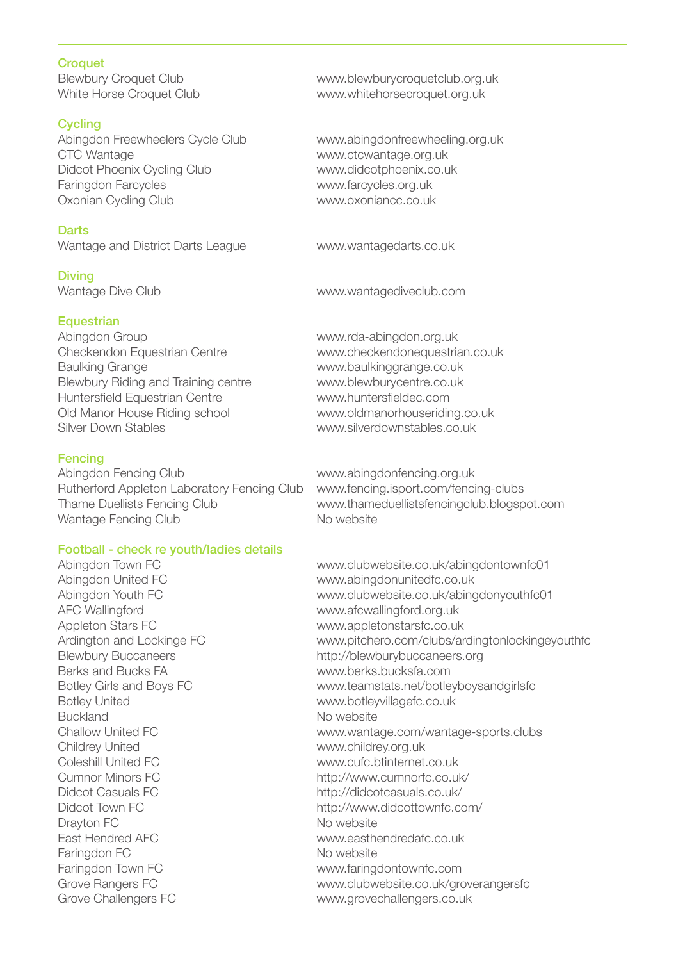**Croquet**<br>Blewbury Croquet Club

# **Cycling**

Abingdon Freewheelers Cycle Club www.abingdonfreewheeling.org.uk CTC Wantage www.ctcwantage.org.uk Didcot Phoenix Cycling Club<br>
Faringdon Farcycles<br>
Faringdon Farcycles (University of the www.farcycles.org.uk Oxonian Cycling Club www.oxoniancc.co.uk

# **Darts**

Wantage and District Darts League www.wantagedarts.co.uk

Diving

# **Equestrian**

Abingdon Group www.rda-abingdon.org.uk Checkendon Equestrian Centre www.checkendonequestrian.co.uk Baulking Grange www.baulkinggrange.co.uk Blewbury Riding and Training centre www.blewburycentre.co.uk Huntersfield Equestrian Centre www.huntersfieldec.com Old Manor House Riding school www.oldmanorhouseriding.co.uk<br>Silver Down Stables<br>www.silverdownstables.co.uk

**Fencing**<br>Abingdon Fencing Club Rutherford Appleton Laboratory Fencing Club www.fencing.isport.com/fencing-clubs Wantage Fencing Club No website

# Football - check re youth/ladies details

AFC Wallingford www.afcwallingford.org.uk Appleton Stars FC www.appletonstarsfc.co.uk Berks and Bucks FA www.berks.bucksfa.com Botley United<br>Buckland<br>Buckland<br>No website Buckland<br>Challow United FC **No. 2008** Shallow United FC Childrey United www.childrey.org.uk Coleshill United FC www.cufc.btinternet.co.uk Cumnor Minors FC http://www.cumnorfc.co.uk/ Didcot Casuals FC http://didcotcasuals.co.uk/ Drayton FC No website East Hendred AFC www.easthendredafc.co.uk Faringdon FC No website Faringdon Town FC www.faringdontownfc.com Grove Challengers FC www.grovechallengers.co.uk

Blewbury Croquet Club<br>White Horse Croquet Club www.whitehorsecroquet.org.uk www.whitehorsecroquet.org.uk

www.farcycles.org.uk

Wantage Dive Club www.wantagediveclub.com

www.silverdownstables.co.uk

www.abingdonfencing.org.uk Thame Duellists Fencing Club www.thameduellistsfencingclub.blogspot.com

Abingdon Town FC **WARE 1000** www.clubwebsite.co.uk/abingdontownfc01 Abingdon United FC www.abingdonunitedfc.co.uk Abingdon Youth FC www.clubwebsite.co.uk/abingdonyouthfc01 Ardington and Lockinge FC www.pitchero.com/clubs/ardingtonlockingeyouthfc Blewbury Buccaneers http://blewburybuccaneers.org Botley Girls and Boys FC www.teamstats.net/botleyboysandgirlsfc www.wantage.com/wantage-sports.clubs http://www.didcottownfc.com/ Grove Rangers FC www.clubwebsite.co.uk/groverangersfc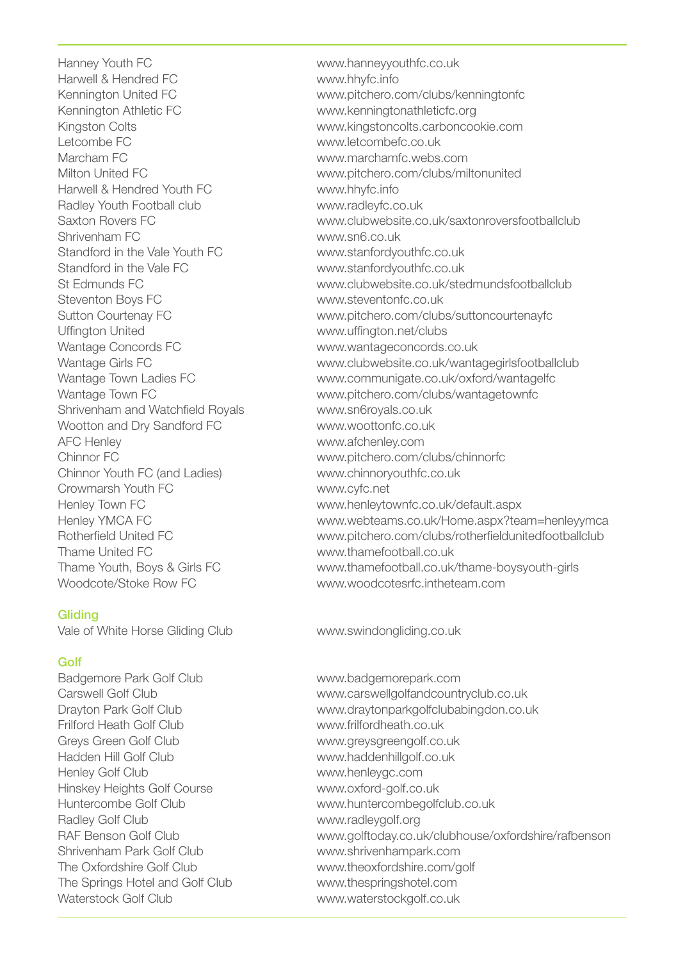Hanney Youth FC www.hanneyyouthfc.co.uk Harwell & Hendred FC www.hhyfc.info Kennington Athletic FC www.kenningtonathleticfc.org Letcombe FC www.letcombefc.co.uk Marcham FC www.marchamfc.webs.com Harwell & Hendred Youth FC www.hhyfc.info Radley Youth Football club www.radleyfc.co.uk Standford in the Vale Youth FC www.stanfordyouthfc.co.uk Standford in the Vale FC www.stanfordyouthfc.co.uk Steventon Boys FC www.steventonfc.co.uk Uffington United www.uffington.net/clubs Wantage Concords FC www.wantageconcords.co.uk Shrivenham and Watchfield Royals www.sn6royals.co.uk Wootton and Dry Sandford FC www.woottonfc.co.uk AFC Henley www.afchenley.com Chinnor Youth FC (and Ladies) www.chinnoryouthfc.co.uk Crowmarsh Youth FC www.cyfc.net Thame United FC www.thamefootball.co.uk

# **Gliding**

Vale of White Horse Gliding Club www.swindongliding.co.uk

# Golf

Badgemore Park Golf Club www.badgemorepark.com Frilford Heath Golf Club www.frilfordheath.co.uk Greys Green Golf Club www.greysgreengolf.co.uk Hadden Hill Golf Club www.haddenhillgolf.co.uk Henley Golf Club www.henleygc.com Hinskey Heights Golf Course www.oxford-golf.co.uk Radley Golf Club www.radleygolf.org The Oxfordshire Golf Club www.theoxfordshire.com/golf The Springs Hotel and Golf Club www.thespringshotel.com Waterstock Golf Club www.waterstockgolf.co.uk

www.pitchero.com/clubs/kenningtonfc Kingston Colts www.kingstoncolts.carboncookie.com www.pitchero.com/clubs/miltonunited Saxton Rovers FC<br>Shrivenham FC<br>Shrivenham FC www.sn6.co.uk St Edmunds FC www.clubwebsite.co.uk/stedmundsfootballclub Sutton Courtenay FC www.pitchero.com/clubs/suttoncourtenayfc Wantage Girls FC www.clubwebsite.co.uk/wantagegirlsfootballclub Wantage Town Ladies FC www.communigate.co.uk/oxford/wantagelfc Wantage Town FC www.pitchero.com/clubs/wantagetownfc Chinnor FC www.pitchero.com/clubs/chinnorfc Henley Town FC www.henleytownfc.co.uk/default.aspx Henley YMCA FC www.webteams.co.uk/Home.aspx?team=henleyymca Rotherfield United FC www.pitchero.com/clubs/rotherfieldunitedfootballclub Thame Youth, Boys & Girls FC www.thamefootball.co.uk/thame-boysyouth-girls Woodcote/Stoke Row FC www.woodcotesrfc.intheteam.com

Carswell Golf Club www.carswellgolfandcountryclub.co.uk Drayton Park Golf Club www.draytonparkgolfclubabingdon.co.uk Huntercombe Golf Club www.huntercombegolfclub.co.uk RAF Benson Golf Club<br>Shrivenham Park Golf Club www.golftoday.co.uk/clubhouse/oxfordshire/rafbenson<br>www.shrivenhampark.com www.shrivenhampark.com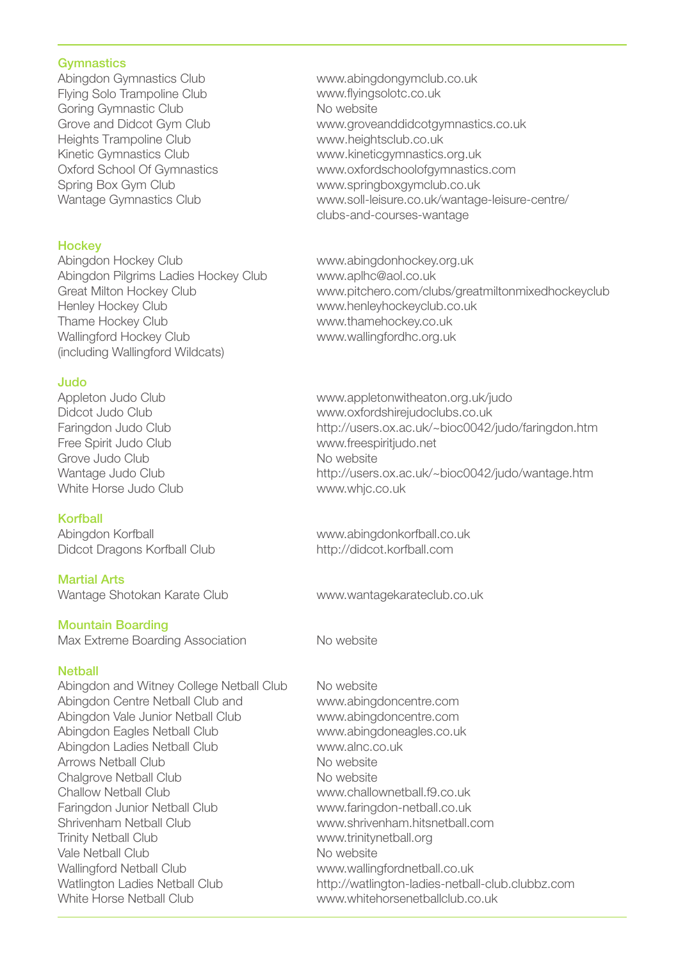**Gymnastics**<br>Abingdon Gymnastics Club Flying Solo Trampoline Club Goring Gymnastic Club Grove and Didcot Gym Club Heights Trampoline Club Kinetic Gymnastics Club Oxford School Of Gymnastics Spring Box Gym Club Wantage Gymnastics Club

**Hockey**<br>Abinadon Hockey Club Abingdon Pilgrims Ladies Hockey Club Henley Hockey Club www.henleyhockeyclub.co.uk Thame Hockey Club www.thamehockey.co.uk Wallingford Hockey Club www.wallingfordhc.org.uk (including Wallingford Wildcats)

**Judo**<br>Appleton Judo Club Free Spirit Judo Club www.freespiritjudo.net Grove Judo Club<br>
Wantage Judo Club<br>
No website<br>
No website White Horse Judo Club www.whjc.co.uk

#### Korfball

Abingdon Korfball www.abingdonkorfball.co.uk Didcot Dragons Korfball Club http://didcot.korfball.com

Martial Arts Wantage Shotokan Karate Club www.wantagekarateclub.co.uk

# Mountain Boarding

Max Extreme Boarding Association No website

#### **Nethall**

Abingdon and Witney College Netball Club No website Abingdon Centre Netball Club and www.abingdoncentre.com Abingdon Vale Junior Netball Club www.abingdoncentre.com Abingdon Eagles Netball Club www.abingdoneagles.co.uk Abingdon Ladies Netball Club www.alnc.co.uk Arrows Netball Club No website Chalgrove Netball Club No website Challow Netball Club www.challownetball.f9.co.uk Faringdon Junior Netball Club www.faringdon-netball.co.uk Shrivenham Netball Club www.shrivenham.hitsnetball.com Trinity Netball Club www.trinitynetball.org Vale Netball Club<br>
Vallingford Netball Club<br>
Www.walling White Horse Netball Club www.whitehorsenetballclub.co.uk

www.abingdongymclub.co.uk www.flyingsolotc.co.uk No website www.groveanddidcotgymnastics.co.uk www.heightsclub.co.uk www.kineticgymnastics.org.uk www.oxfordschoolofgymnastics.com www.springboxgymclub.co.uk www.soll-leisure.co.uk/wantage-leisure-centre/ clubs-and-courses-wantage

www.abingdonhockey.org.uk<br>www.apihc@aol.co.uk Great Milton Hockey Club www.pitchero.com/clubs/greatmiltonmixedhockeyclub

www.appletonwitheaton.org.uk/judo Didcot Judo Club www.oxfordshirejudoclubs.co.uk http://users.ox.ac.uk/~bioc0042/judo/faringdon.htm http://users.ox.ac.uk/~bioc0042/judo/wantage.htm

www.wallingfordnetball.co.uk Watlington Ladies Netball Club http://watlington-ladies-netball-club.clubbz.com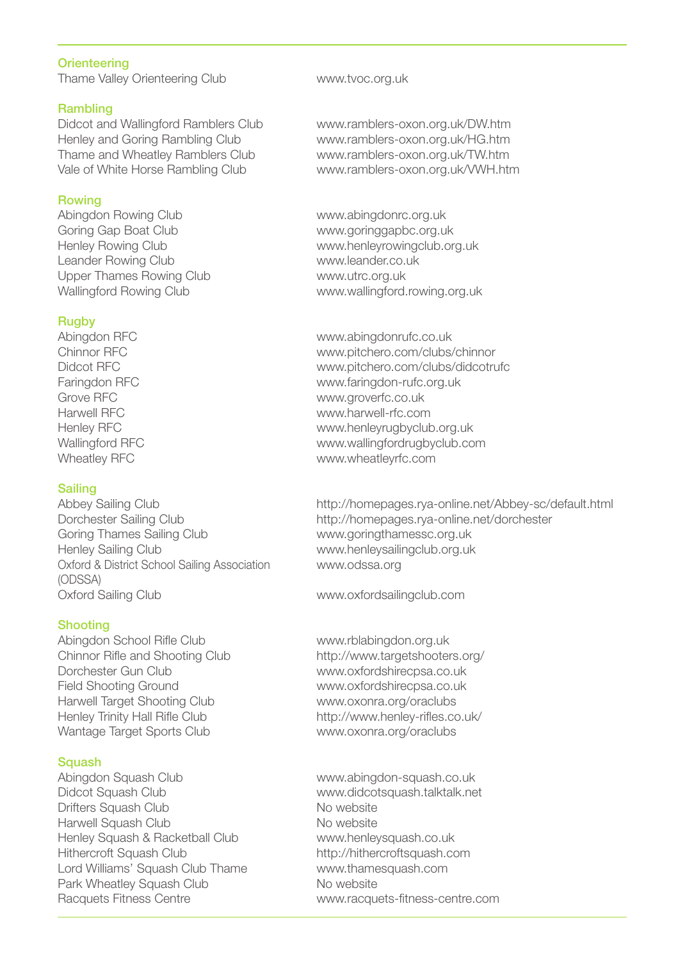# **Orienteering**

Thame Valley Orienteering Club www.tvoc.org.uk

#### Rambling

Henley and Goring Rambling Club www.ramblers-oxon.org.uk/HG.htm Thame and Wheatley Ramblers Club www.ramblers-oxon.org.uk/TW.htm

# Rowing

Abingdon Rowing Club www.abingdonrc.org.uk Goring Gap Boat Club and the www.goringgapbc.org.uk<br>Henley Rowing Club and the www.henleyrowingclub.org Leander Rowing Club Upper Thames Rowing Club www.utrc.org.uk

### Rugby

# **Sailing**

Goring Thames Sailing Club www.goringthamessc.org.uk Henley Sailing Club www.henleysailingclub.org.uk Oxford & District School Sailing Association www.odssa.org (ODSSA) Oxford Sailing Club www.oxfordsailingclub.com

# Shooting

Abingdon School Rifle Club www.rblabingdon.org.uk Chinnor Rifle and Shooting Club http://www.targetshooters.org/ Dorchester Gun Club www.oxfordshirecpsa.co.uk Field Shooting Ground www.oxfordshirecpsa.co.uk Harwell Target Shooting Club<br>
Henley Trinity Hall Rifle Club<br>
http://www.henley-rifles.com Wantage Target Sports Club www.oxonra.org/oraclubs

# **Squash**

Abingdon Squash Club www.abingdon-squash.co.uk Didcot Squash Club www.didcotsquash.talktalk.net Drifters Squash Club Harwell Squash Club No website Henley Squash & Racketball Club www.henleysquash.co.uk Hithercroft Squash Club http://hithercroftsquash.com<br>
Lord Williams' Squash Club Thame www.thamesquash.com Lord Williams' Squash Club Thame Park Wheatley Squash Club No website Racquets Fitness Centre **Example 20 Fitness**-centre.com

Didcot and Wallingford Ramblers Club www.ramblers-oxon.org.uk/DW.htm www.ramblers-oxon.org.uk/VWH.htm

www.henleyrowingclub.org.uk<br>www.leander.co.uk Wallingford Rowing Club www.wallingford.rowing.org.uk

Abingdon RFC www.abingdonrufc.co.uk Chinnor RFC www.pitchero.com/clubs/chinnor Didcot RFC www.pitchero.com/clubs/didcotrufc Faringdon RFC www.faringdon-rufc.org.uk Grove RFC<br>
Harwell RFC<br>
Harwell RFC Harwell RFC www.harwell-rfc.com www.henleyrugbyclub.org.uk Wallingford RFC www.wallingfordrugbyclub.com Wheatley RFC www.wheatleyrfc.com

Abbey Sailing Club http://homepages.rya-online.net/Abbey-sc/default.html Dorchester Sailing Club http://homepages.rya-online.net/dorchester

http://www.henley-rifles.co.uk/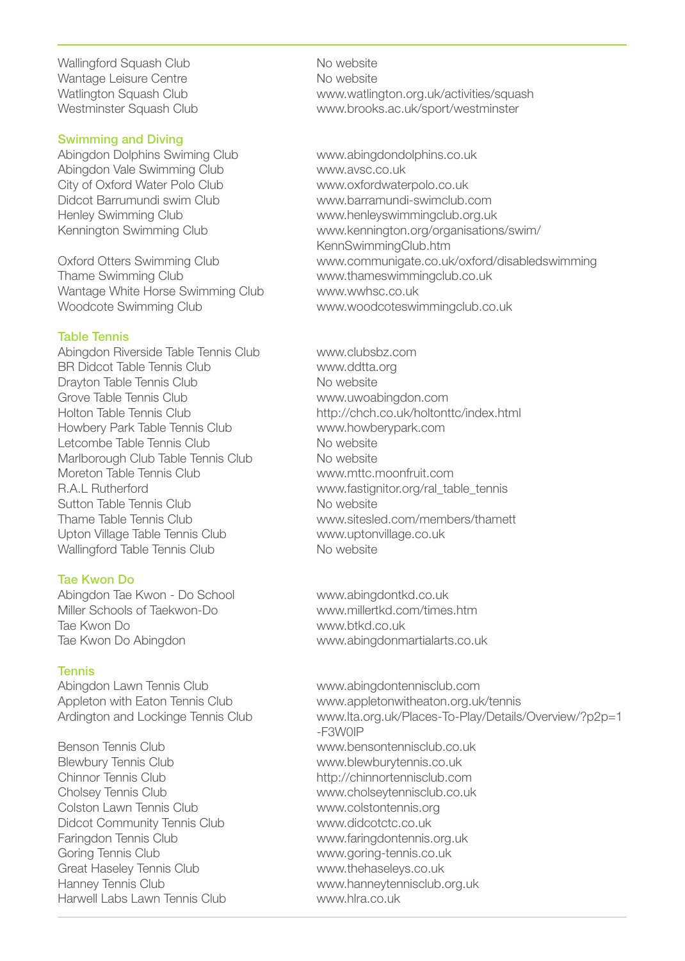Wallingford Squash Club No website Wantage Leisure Centre<br>
Watlington Squash Club<br>
Www.watlin

#### Swimming and Diving

Abingdon Dolphins Swiming Club www.abingdondolphins.co.uk Abingdon Vale Swimming Club www.avsc.co.uk<br>City of Oxford Water Polo Club www.oxfordwate

Wantage White Horse Swimming Club Woodcote Swimming Club www.woodcoteswimmingclub.co.uk

#### Table Tennis

Abingdon Riverside Table Tennis Club www.clubsbz.com BR Didcot Table Tennis Club www.ddtta.org Drayton Table Tennis Club<br>Grove Table Tennis Club Nowwww.uwoal Howbery Park Table Tennis Club www.howberships.com<br>Letcombe Table Tennis Club Website Letcombe Table Tennis Club Marlborough Club Table Tennis Club<br>
Moreton Table Tennis Club Noreton Table Tennis Club Moreton Table Tennis Club<br>R.A.L Rutherford Sutton Table Tennis Club<br>
Thame Table Tennis Club<br>
No www.sitesle Upton Village Table Tennis Club www.uptonvillage.co.uk Wallingford Table Tennis Club No website

# Tae Kwon Do

Abingdon Tae Kwon - Do School www.abingdontkd.co.uk Miller Schools of Taekwon-Do www.millertkd.com/times.htm Tae Kwon Do www.btkd.co.uk Tae Kwon Do Abingdon www.abingdonmartialarts.co.uk

# Tennis

Abingdon Lawn Tennis Club www.abingdontennisclub.com

Blewbury Tennis Club www.blewburytennis.co.uk Chinnor Tennis Club http://chinnortennisclub.com Cholsey Tennis Club www.cholseytennisclub.co.uk Colston Lawn Tennis Club www.colstontennis.org Didcot Community Tennis Club www.didcotctc.co.uk Faringdon Tennis Club www.faringdontennis.org.uk Goring Tennis Club www.goring-tennis.co.uk Great Haseley Tennis Club www.thehaseleys.co.uk Hanney Tennis Club www.hanneytennisclub.org.uk Harwell Labs Lawn Tennis Club www.hlra.co.uk

Watlington Squash Club<br>Westminster Squash Club www.watlington.org.uk/activities/squash<br>Westminster www.brooks.ac.uk/sport/westminster

www.oxfordwaterpolo.co.uk Didcot Barrumundi swim Club www.barramundi-swimclub.com Henley Swimming Club www.henleyswimmingclub.org.uk Kennington Swimming Club www.kennington.org/organisations/swim/ KennSwimmingClub.htm Oxford Otters Swimming Club www.communigate.co.uk/oxford/disabledswimming<br>Thame Swimming Club www.thameswimmingclub.co.uk www.thameswimmingclub.co.uk<br>www.wwhsc.co.uk

www.uwoabingdon.com Holton Table Tennis Club http://chch.co.uk/holtonttc/index.html<br>Howbery Park Table Tennis Club www.howberypark.com www.fastignitor.org/ral\_table\_tennis www.sitesled.com/members/thamett

Appleton with Eaton Tennis Club www.appletonwitheaton.org.uk/tennis<br>Ardington and Lockinge Tennis Club www.lta.org.uk/Places-To-Play/Details www.lta.org.uk/Places-To-Play/Details/Overview/?p2p=1 -F3W0IP Benson Tennis Club www.bensontennisclub.co.uk